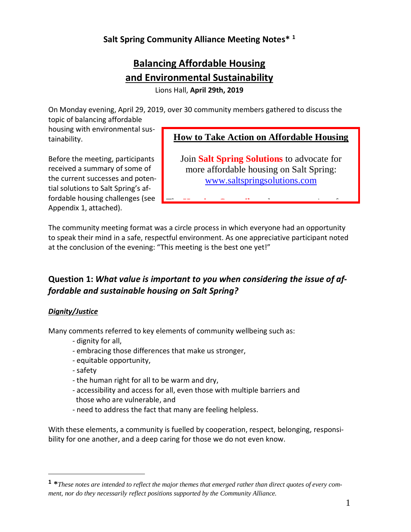# **Salt Spring Community Alliance Meeting Notes\* <sup>1</sup>**

# **Balancing Affordable Housing and Environmental Sustainability**

Lions Hall, **April 29th, 2019**

On Monday evening, April 29, 2019, over 30 community members gathered to discuss the topic of balancing affordable

housing with environmental sustainability.

Before the meeting, participants received a summary of some of the current successes and potential solutions to Salt Spring's affordable housing challenges (see Appendix 1, attached).

### **How to Take Action on Affordable Housing**

Join **Salt Spring Solutions** to advocate for more affordable housing on Salt Spring: [www.saltspringsolutions.com](http://www.saltspringsolutions.com/)

The **Housing Council** needs representatives from

The community meeting format was a circle process in which everyone had an opportunity to speak their mind in a safe, respectful environment. As one appreciative participant noted at the conclusion of the evening: "This meeting is the best one yet!"

## **Question 1: What value is important to you when considering the issue of af***fordable and sustainable housing on Salt Spring?* [http://transitionsaltspring.com/event/eco-living](http://transitionsaltspring.com/event/eco-living-and-home-tour/)[and-home-tour/](http://transitionsaltspring.com/event/eco-living-and-home-tour/)

### *Dignity/Justice*

Many comments referred to key elements of community wellbeing such as:

- dignity for all,
- embracing those differences that make us stronger,
- equitable opportunity,
- safety

 $\overline{a}$ 

- the human right for all to be warm and dry,
- accessibility and access for all, even those with multiple barriers and those who are vulnerable, and
- need to address the fact that many are feeling helpless.

With these elements, a community is fuelled by cooperation, respect, belonging, responsibility for one another, and a deep caring for those we do not even know.

 $1 *$ These notes are intended to reflect the major themes that emerged rather than direct quotes of every com*ment, nor do they necessarily reflect positions supported by the Community Alliance.*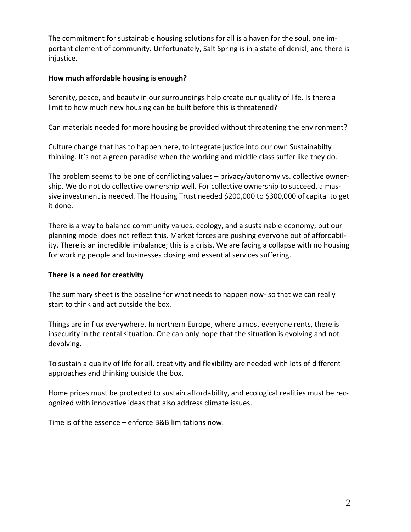The commitment for sustainable housing solutions for all is a haven for the soul, one important element of community. Unfortunately, Salt Spring is in a state of denial, and there is injustice.

#### **How much affordable housing is enough?**

Serenity, peace, and beauty in our surroundings help create our quality of life. Is there a limit to how much new housing can be built before this is threatened?

Can materials needed for more housing be provided without threatening the environment?

Culture change that has to happen here, to integrate justice into our own Sustainabilty thinking. It's not a green paradise when the working and middle class suffer like they do.

The problem seems to be one of conflicting values – privacy/autonomy vs. collective ownership. We do not do collective ownership well. For collective ownership to succeed, a massive investment is needed. The Housing Trust needed \$200,000 to \$300,000 of capital to get it done.

There is a way to balance community values, ecology, and a sustainable economy, but our planning model does not reflect this. Market forces are pushing everyone out of affordability. There is an incredible imbalance; this is a crisis. We are facing a collapse with no housing for working people and businesses closing and essential services suffering.

#### **There is a need for creativity**

The summary sheet is the baseline for what needs to happen now- so that we can really start to think and act outside the box.

Things are in flux everywhere. In northern Europe, where almost everyone rents, there is insecurity in the rental situation. One can only hope that the situation is evolving and not devolving.

To sustain a quality of life for all, creativity and flexibility are needed with lots of different approaches and thinking outside the box.

Home prices must be protected to sustain affordability, and ecological realities must be recognized with innovative ideas that also address climate issues.

Time is of the essence – enforce B&B limitations now.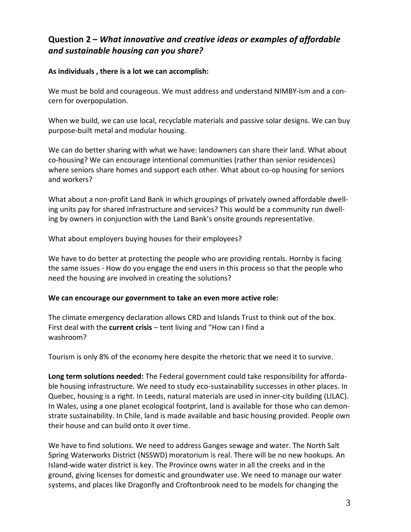# **Question 2 –** *What innovative and creative ideas or examples of affordable and sustainable housing can you share?*

#### **As individuals , there is a lot we can accomplish:**

We must be bold and courageous. We must address and understand NIMBY-ism and a concern for overpopulation.

When we build, we can use local, recyclable materials and passive solar designs. We can buy purpose-built metal and modular housing.

We can do better sharing with what we have: landowners can share their land. What about co-housing? We can encourage intentional communities (rather than senior residences) where seniors share homes and support each other. What about co-op housing for seniors and workers?

What about a non-profit Land Bank in which groupings of privately owned affordable dwelling units pay for shared infrastructure and services? This would be a community run dwelling by owners in conjunction with the Land Bank's onsite grounds representative.

What about employers buying houses for their employees?

We have to do better at protecting the people who are providing rentals. Hornby is facing the same issues - How do you engage the end users in this process so that the people who need the housing are involved in creating the solutions?

#### **We can encourage our government to take an even more active role:**

The climate emergency declaration allows CRD and Islands Trust to think out of the box. First deal with the **current crisis** – tent living and "How can I find a washroom?

Tourism is only 8% of the economy here despite the rhetoric that we need it to survive.

**Long term solutions needed:** The Federal government could take responsibility for affordable housing infrastructure. We need to study eco-sustainability successes in other places. In Quebec, housing is a right. In Leeds, natural materials are used in inner-city building (LILAC). In Wales, using a one planet ecological footprint, land is available for those who can demonstrate sustainability. In Chile, land is made available and basic housing provided. People own their house and can build onto it over time.

We have to find solutions. We need to address Ganges sewage and water. The North Salt Spring Waterworks District (NSSWD) moratorium is real. There will be no new hookups. An Island-wide water district is key. The Province owns water in all the creeks and in the ground, giving licenses for domestic and groundwater use. We need to manage our water systems, and places like Dragonfly and Croftonbrook need to be models for changing the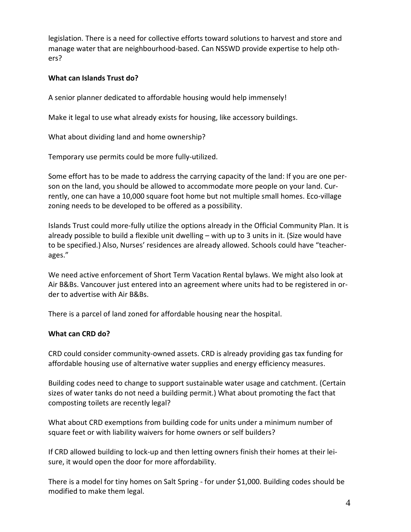legislation. There is a need for collective efforts toward solutions to harvest and store and manage water that are neighbourhood-based. Can NSSWD provide expertise to help others?

#### **What can Islands Trust do?**

A senior planner dedicated to affordable housing would help immensely!

Make it legal to use what already exists for housing, like accessory buildings.

What about dividing land and home ownership?

Temporary use permits could be more fully-utilized.

Some effort has to be made to address the carrying capacity of the land: If you are one person on the land, you should be allowed to accommodate more people on your land. Currently, one can have a 10,000 square foot home but not multiple small homes. Eco-village zoning needs to be developed to be offered as a possibility.

Islands Trust could more-fully utilize the options already in the Official Community Plan. It is already possible to build a flexible unit dwelling – with up to 3 units in it. (Size would have to be specified.) Also, Nurses' residences are already allowed. Schools could have "teacherages."

We need active enforcement of Short Term Vacation Rental bylaws. We might also look at Air B&Bs. Vancouver just entered into an agreement where units had to be registered in order to advertise with Air B&Bs.

There is a parcel of land zoned for affordable housing near the hospital.

#### **What can CRD do?**

CRD could consider community-owned assets. CRD is already providing gas tax funding for affordable housing use of alternative water supplies and energy efficiency measures.

Building codes need to change to support sustainable water usage and catchment. (Certain sizes of water tanks do not need a building permit.) What about promoting the fact that composting toilets are recently legal?

What about CRD exemptions from building code for units under a minimum number of square feet or with liability waivers for home owners or self builders?

If CRD allowed building to lock-up and then letting owners finish their homes at their leisure, it would open the door for more affordability.

There is a model for tiny homes on Salt Spring - for under \$1,000. Building codes should be modified to make them legal.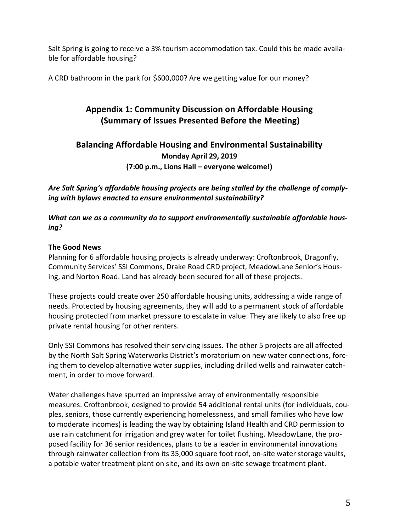Salt Spring is going to receive a 3% tourism accommodation tax. Could this be made available for affordable housing?

A CRD bathroom in the park for \$600,000? Are we getting value for our money?

# **Appendix 1: Community Discussion on Affordable Housing (Summary of Issues Presented Before the Meeting)**

# **Balancing Affordable Housing and Environmental Sustainability Monday April 29, 2019 (7:00 p.m., Lions Hall – everyone welcome!)**

*Are Salt Spring's affordable housing projects are being stalled by the challenge of complying with bylaws enacted to ensure environmental sustainability?*

*What can we as a community do to support environmentally sustainable affordable housing?*

### **The Good News**

Planning for 6 affordable housing projects is already underway: Croftonbrook, Dragonfly, Community Services' SSI Commons, Drake Road CRD project, MeadowLane Senior's Housing, and Norton Road. Land has already been secured for all of these projects.

These projects could create over 250 affordable housing units, addressing a wide range of needs. Protected by housing agreements, they will add to a permanent stock of affordable housing protected from market pressure to escalate in value. They are likely to also free up private rental housing for other renters.

Only SSI Commons has resolved their servicing issues. The other 5 projects are all affected by the North Salt Spring Waterworks District's moratorium on new water connections, forcing them to develop alternative water supplies, including drilled wells and rainwater catchment, in order to move forward.

Water challenges have spurred an impressive array of environmentally responsible measures. Croftonbrook, designed to provide 54 additional rental units (for individuals, couples, seniors, those currently experiencing homelessness, and small families who have low to moderate incomes) is leading the way by obtaining Island Health and CRD permission to use rain catchment for irrigation and grey water for toilet flushing. MeadowLane, the proposed facility for 36 senior residences, plans to be a leader in environmental innovations through rainwater collection from its 35,000 square foot roof, on-site water storage vaults, a potable water treatment plant on site, and its own on-site sewage treatment plant.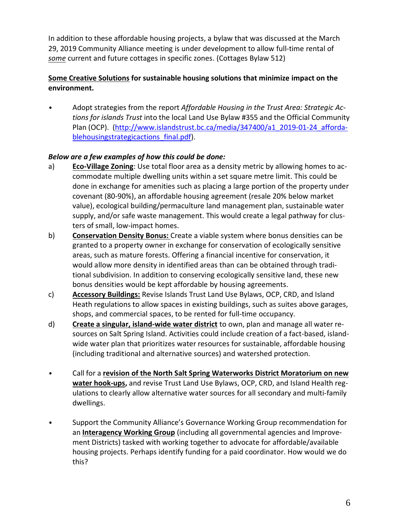In addition to these affordable housing projects, a bylaw that was discussed at the March 29, 2019 Community Alliance meeting is under development to allow full-time rental of *some* current and future cottages in specific zones. (Cottages Bylaw 512)

### **Some Creative Solutions for sustainable housing solutions that minimize impact on the environment.**

• Adopt strategies from the report *Affordable Housing in the Trust Area: Strategic Actions for islands Trust* into the local Land Use Bylaw #355 and the Official Community Plan (OCP). [\(http://www.islandstrust.bc.ca/media/347400/a1\\_2019-01-24\\_afforda](http://www.islandstrust.bc.ca/media/347400/a1_2019-01-24_affordablehousingstrategicactions_final.pdf)blehousingstrategicactions final.pdf).

### *Below are a few examples of how this could be done:*

- a) **Eco-Village Zoning**: Use total floor area as a density metric by allowing homes to accommodate multiple dwelling units within a set square metre limit. This could be done in exchange for amenities such as placing a large portion of the property under covenant (80-90%), an affordable housing agreement (resale 20% below market value), ecological building/permaculture land management plan, sustainable water supply, and/or safe waste management. This would create a legal pathway for clusters of small, low-impact homes.
- b) **Conservation Density Bonus:** Create a viable system where bonus densities can be granted to a property owner in exchange for conservation of ecologically sensitive areas, such as mature forests. Offering a financial incentive for conservation, it would allow more density in identified areas than can be obtained through traditional subdivision. In addition to conserving ecologically sensitive land, these new bonus densities would be kept affordable by housing agreements.
- c) **Accessory Buildings:** Revise Islands Trust Land Use Bylaws, OCP, CRD, and Island Heath regulations to allow spaces in existing buildings, such as suites above garages, shops, and commercial spaces, to be rented for full-time occupancy.
- d) **Create a singular, island-wide water district** to own, plan and manage all water resources on Salt Spring Island. Activities could include creation of a fact-based, islandwide water plan that prioritizes water resources for sustainable, affordable housing (including traditional and alternative sources) and watershed protection.
- Call for a **revision of the North Salt Spring Waterworks District Moratorium on new water hook-ups,** and revise Trust Land Use Bylaws, OCP, CRD, and Island Health regulations to clearly allow alternative water sources for all secondary and multi-family dwellings.
- Support the Community Alliance's Governance Working Group recommendation for an **Interagency Working Group** (including all governmental agencies and Improvement Districts) tasked with working together to advocate for affordable/available housing projects. Perhaps identify funding for a paid coordinator. How would we do this?